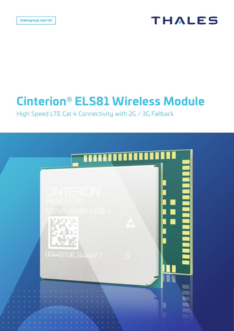# **THALES**

# **Cinterion® ELS81 Wireless Module**

High Speed LTE Cat 4 Connectivity with 2G / 3G Fallback

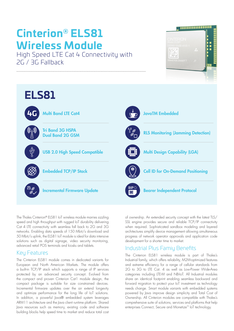# **Cinterion® ELS81 Wireless Module**

High Speed LTE Cat 4 Connectivity with 2G / 3G Fallback





The Thales Cinterion® ELS81 IoT wireless module marries sizzling speed and high throughput with rugged IoT durability delivering Cat 4 LTE connectivity with seamless fall back to 2G and 3G networks. Enabling data speeds of 150 Mbit/s download and 50 Mbit/s uplink, the ELS81 IoT module is ideal for data intensive solutions such as digital signage, video security monitoring, advanced retail POS terminals and kiosks and tablets.

## Key Features

The Cinterion ELS81 module comes in dedicated variants for European and North American Markets. The module offers a built-in TCP/IP stack which supports a range of IP services protected by an advanced security concept. Evolved from the compact and proven Cinterion Cat1 module design, the compact package is suitable for size constrained devices. Incremental firmware updates over the air extend longevity and optimize performance for the long life of IoT solutions. In addition, a powerful Java® embedded system leverages ARM11 architecture and the Java client runtime platform. Shared Java resources such as memory, existing code and software building blocks help speed time to market and reduce total cost

of ownership. An extended security concept with the latest TLS/ SSL engine provides secure and reliable TCP/IP connectivity when required. Sophisticated sandbox modeling and layered architectures simplify device management allowing simultaneous progress of network operator approvals and application code development for a shorter time to market.

## Industrial Plus Famiy Benefits

The Cinterion ELS81 wireless module is part of Thales's Industrial family, which offers reliability, M2M-optimized features and extreme efficiency for a range of cellular standards from 2G to 3G to LTE Cat. 4 as well as Low-Power Wide-Area categories including LTE-M and NB-IoT. All Industrial modules share an identical footprint enabling seamless backward and forward migration to protect your IoT investment as technology needs change. Smart module variants with embedded systems powered by Java improve design simplicity and Total Cost of Ownership. All Cinterion modules are compatible with Thales's comprehensive suite of solutions, services and platforms that help enterprises Connect, Secure and Monetize™ IoT technology.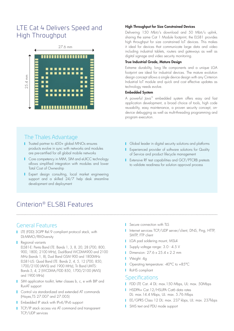# LTE Cat 4 Delivers Speed and High Throughput



#### High Throughput for Size Constrained Devices

Delivering 150 Mbit/s download and 50 Mbit/s uplink, sharing the same Cat 1 Module footprint, the ELS81 provides high throughput for size constrained IoT devices. This makes it ideal for devices that communicate large data and video including industrial tablets, routers and gateways as well as digital signage and video security monitoring.

#### True Industrial Grade, Mature Design

Extreme durability, long life components and a unique LGA footprint are ideal for industrial devices. The mature evolution design concept allows a single device design with any Cinterion Industrial IoT module and quick and cost effective updates as technology needs evolve.

#### Embedded System

A powerful Java™ embedded system offers easy and fast application development, a broad choice of tools, high code reusability, easy maintenance, a proven security concept, ondevice debugging as well as multi-threading programming and program execution.

### The Thales Advantage

- **T** Trusted partner to 450+ global MNOs ensures products evolve in sync with networks and modules are pre-certified for all global mobile networks
- **Core competency in MIM, SIM and eUICC technology** allows simplified integration with modules and lower Total Cost of Ownership
- **I** Expert design consulting, local market engineering support and a skilled 24/7 help desk streamline development and deployment
- **I** Global leader in digital security solutions and platforms
- **I** Experienced provider of software solutions for Quality of Service and product lifecycle management
- **I** Extensive RF test capabilities and GCF/PTCRB pretests to validate readiness for solution approval process

## Cinterion® ELS81 Features

### General Features

- **LTE (FDD) 3GPP Rel.9 compliant protocol stack, with** DL-MIMO/RX-Diversity
- Regional variants ELS81-E: Penta Band LTE: Bands 1, 3, 8, 20, 28 (700, 800, 900, 1800, 2100 MHz), Dual-Band WCDMA900 and 2100 MHz (bands 1, 8), Dual Band GSM 900 and 1800MHz ELS81-US: Quad Band LTE: Bands 2, 4, 5, 12 (700, 850, 1700/2100 (AWS) and 1900 MHz), Tri Band UMTS: Bands 5, 4, 2 (WCDMA/FDD 850, 1700/2100 (AWS) and 1900 MHz)
- I SIM application toolkit, letter classes b, c, e with BIP and RunAT support
- **Control via standardized and extended AT commands** (Hayes,TS 27.007 and 27.005)
- **F** Embedded IP stack with IPv4/IPv6 support
- **TCP/IP** stack access via AT command and transparent TCP/UDP services
- Secure connection with TLS
- I Internet services TCP/UDP server/client, DNS, Ping, HTTP, SMTP, FTP client
- **LGA pad soldering mount, MSL4**
- Supply voltage range: 3.0 4.5 V
- **Dimension: 27.6 x 25.4 x 2.2 mm**
- **Neight: 4g**
- Operating temperature: -40°C to +85°C
- RoHS compliant

#### **Specifications**

- FDD LTE Cat. 4 DL: max.150 Mbps, UL: max. 50 Mbps
- **HSDPA+ Cat.12/HSUPA Cat6 data rates** DL: max.14.4 Mbps, UL: max. 5.76 Mbps
- EE/GPRS Class 12 DL: max. 237 kbps, UL: max. 237kbps
- SMS text and PDU mode support